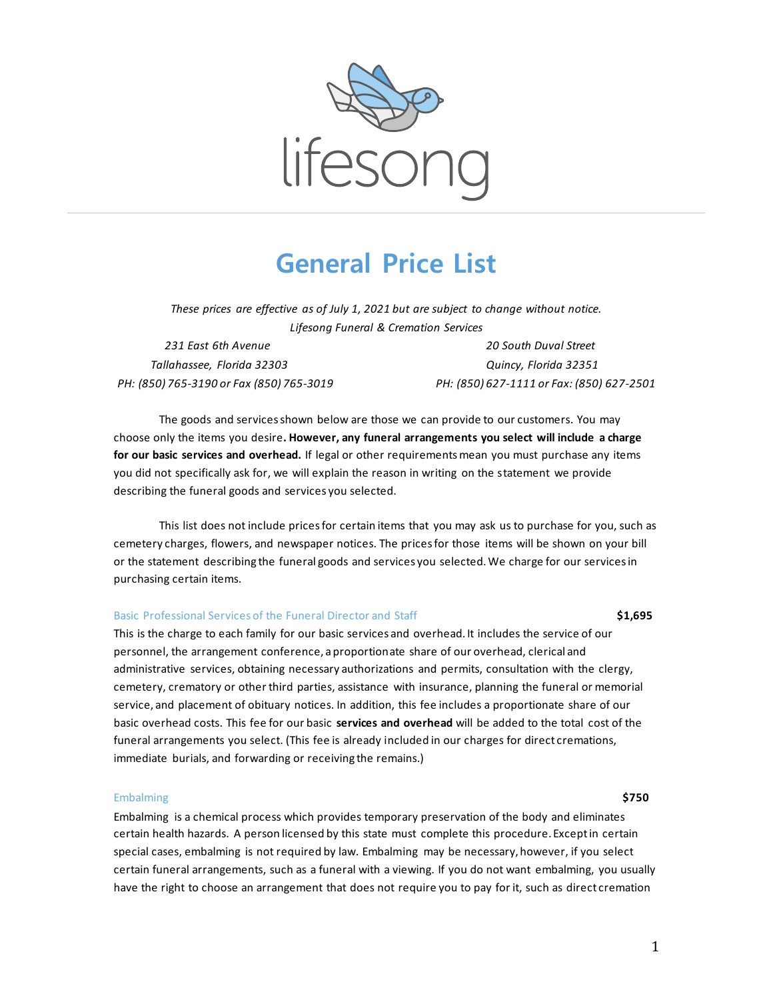

# **General Price List**

*These prices are effective as of July 1, 2021 but are subject to change without notice. Lifesong Funeral & Cremation Services*

 *Tallahassee, Florida 32303 Quincy, Florida 32351*

 *231 East 6th Avenue 20 South Duval Street PH: (850) 765-3190 or Fax (850) 765-3019 PH: (850) 627-1111 or Fax: (850) 627-2501*

The goods and services shown below are those we can provide to our customers. You may choose only the items you desire**. However, any funeral arrangements you select will include a charge for our basic services and overhead.** If legal or other requirements mean you must purchase any items you did not specifically ask for, we will explain the reason in writing on the statement we provide describing the funeral goods and services you selected.

This list does not include prices for certain items that you may ask us to purchase for you, such as cemetery charges, flowers, and newspaper notices. The prices for those items will be shown on your bill or the statement describing the funeral goods and services you selected. We charge for our services in purchasing certain items.

## Basic Professional Services of the Funeral Director and Staff **\$1,695**

This is the charge to each family for our basic services and overhead. It includes the service of our personnel, the arrangement conference, a proportionate share of our overhead, clerical and administrative services, obtaining necessary authorizations and permits, consultation with the clergy, cemetery, crematory or other third parties, assistance with insurance, planning the funeral or memorial service, and placement of obituary notices. In addition, this fee includes a proportionate share of our basic overhead costs. This fee for our basic **services and overhead** will be added to the total cost of the funeral arrangements you select. (This fee is already included in our charges for direct cremations, immediate burials, and forwarding or receiving the remains.)

### Embalming **\$750**

Embalming is a chemical process which provides temporary preservation of the body and eliminates certain health hazards. A person licensed by this state must complete this procedure. Except in certain special cases, embalming is not required by law. Embalming may be necessary, however, if you select certain funeral arrangements, such as a funeral with a viewing. If you do not want embalming, you usually have the right to choose an arrangement that does not require you to pay for it, such as direct cremation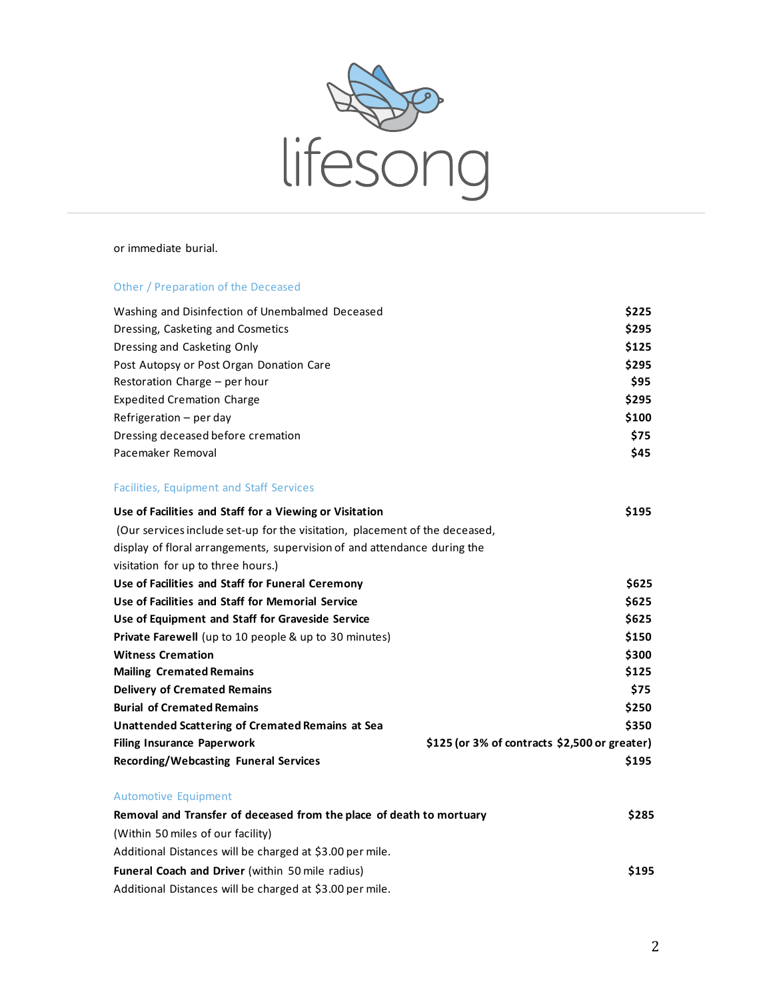

# or immediate burial.

# Other / Preparation of the Deceased

| Washing and Disinfection of Unembalmed Deceased                             |                                                 | \$225 |
|-----------------------------------------------------------------------------|-------------------------------------------------|-------|
| Dressing, Casketing and Cosmetics                                           |                                                 | \$295 |
| Dressing and Casketing Only                                                 |                                                 | \$125 |
| Post Autopsy or Post Organ Donation Care                                    |                                                 | \$295 |
| Restoration Charge - per hour                                               |                                                 | \$95  |
| <b>Expedited Cremation Charge</b>                                           |                                                 | \$295 |
| Refrigeration $-$ per day                                                   |                                                 | \$100 |
| Dressing deceased before cremation                                          |                                                 | \$75  |
| Pacemaker Removal                                                           |                                                 | \$45  |
| <b>Facilities, Equipment and Staff Services</b>                             |                                                 |       |
| Use of Facilities and Staff for a Viewing or Visitation                     |                                                 | \$195 |
| (Our services include set-up for the visitation, placement of the deceased, |                                                 |       |
| display of floral arrangements, supervision of and attendance during the    |                                                 |       |
| visitation for up to three hours.)                                          |                                                 |       |
| Use of Facilities and Staff for Funeral Ceremony                            |                                                 | \$625 |
| Use of Facilities and Staff for Memorial Service                            |                                                 | \$625 |
| Use of Equipment and Staff for Graveside Service                            |                                                 | \$625 |
| <b>Private Farewell</b> (up to 10 people & up to 30 minutes)                |                                                 | \$150 |
| <b>Witness Cremation</b>                                                    |                                                 | \$300 |
| <b>Mailing Cremated Remains</b>                                             |                                                 | \$125 |
| <b>Delivery of Cremated Remains</b>                                         |                                                 | \$75  |
| <b>Burial of Cremated Remains</b>                                           |                                                 | \$250 |
| <b>Unattended Scattering of Cremated Remains at Sea</b>                     |                                                 | \$350 |
| <b>Filing Insurance Paperwork</b>                                           | $$125$ (or 3% of contracts $$2,500$ or greater) |       |
| <b>Recording/Webcasting Funeral Services</b>                                |                                                 | \$195 |
| <b>Automotive Equipment</b>                                                 |                                                 |       |
| Removal and Transfer of deceased from the place of death to mortuary        |                                                 | \$285 |
| (Within 50 miles of our facility)                                           |                                                 |       |
|                                                                             |                                                 |       |

| Additional Distances will be charged at \$3.00 per mile. |       |
|----------------------------------------------------------|-------|
| <b>Funeral Coach and Driver</b> (within 50 mile radius)  | \$195 |
| Additional Distances will be charged at \$3.00 per mile. |       |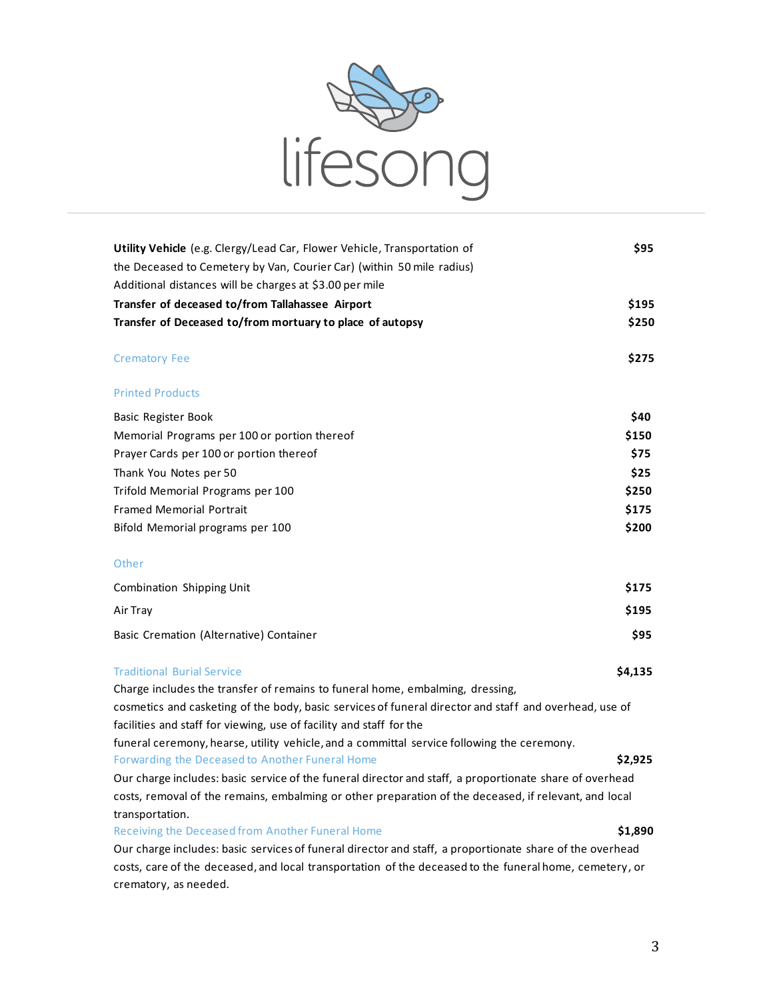

| Utility Vehicle (e.g. Clergy/Lead Car, Flower Vehicle, Transportation of                                                                                                      | \$95    |  |
|-------------------------------------------------------------------------------------------------------------------------------------------------------------------------------|---------|--|
| the Deceased to Cemetery by Van, Courier Car) (within 50 mile radius)                                                                                                         |         |  |
| Additional distances will be charges at \$3.00 per mile                                                                                                                       |         |  |
| Transfer of deceased to/from Tallahassee Airport                                                                                                                              | \$195   |  |
| Transfer of Deceased to/from mortuary to place of autopsy                                                                                                                     | \$250   |  |
| <b>Crematory Fee</b>                                                                                                                                                          | \$275   |  |
| <b>Printed Products</b>                                                                                                                                                       |         |  |
| Basic Register Book                                                                                                                                                           | \$40    |  |
| Memorial Programs per 100 or portion thereof                                                                                                                                  | \$150   |  |
| Prayer Cards per 100 or portion thereof                                                                                                                                       | \$75    |  |
| Thank You Notes per 50                                                                                                                                                        | \$25    |  |
| Trifold Memorial Programs per 100                                                                                                                                             | \$250   |  |
| <b>Framed Memorial Portrait</b>                                                                                                                                               | \$175   |  |
| Bifold Memorial programs per 100                                                                                                                                              | \$200   |  |
|                                                                                                                                                                               |         |  |
| Other                                                                                                                                                                         |         |  |
| Combination Shipping Unit                                                                                                                                                     | \$175   |  |
| Air Tray                                                                                                                                                                      | \$195   |  |
| Basic Cremation (Alternative) Container                                                                                                                                       | \$95    |  |
| <b>Traditional Burial Service</b>                                                                                                                                             | \$4,135 |  |
| Charge includes the transfer of remains to funeral home, embalming, dressing,                                                                                                 |         |  |
| cosmetics and casketing of the body, basic services of funeral director and staff and overhead, use of<br>facilities and staff for viewing, use of facility and staff for the |         |  |
| funeral ceremony, hearse, utility vehicle, and a committal service following the ceremony.                                                                                    |         |  |
| Forwarding the Deceased to Another Funeral Home                                                                                                                               | \$2,925 |  |
| Our charge includes: basic service of the funeral director and staff, a proportionate share of overhead                                                                       |         |  |
| costs, removal of the remains, embalming or other preparation of the deceased, if relevant, and local<br>transportation.                                                      |         |  |
| Receiving the Deceased from Another Funeral Home                                                                                                                              | \$1,890 |  |
| Our charge includes: basic services of funeral director and staff, a proportionate share of the overhead                                                                      |         |  |
| costs, care of the deceased, and local transportation of the deceased to the funeral home, cemetery, or<br>crematory, as needed.                                              |         |  |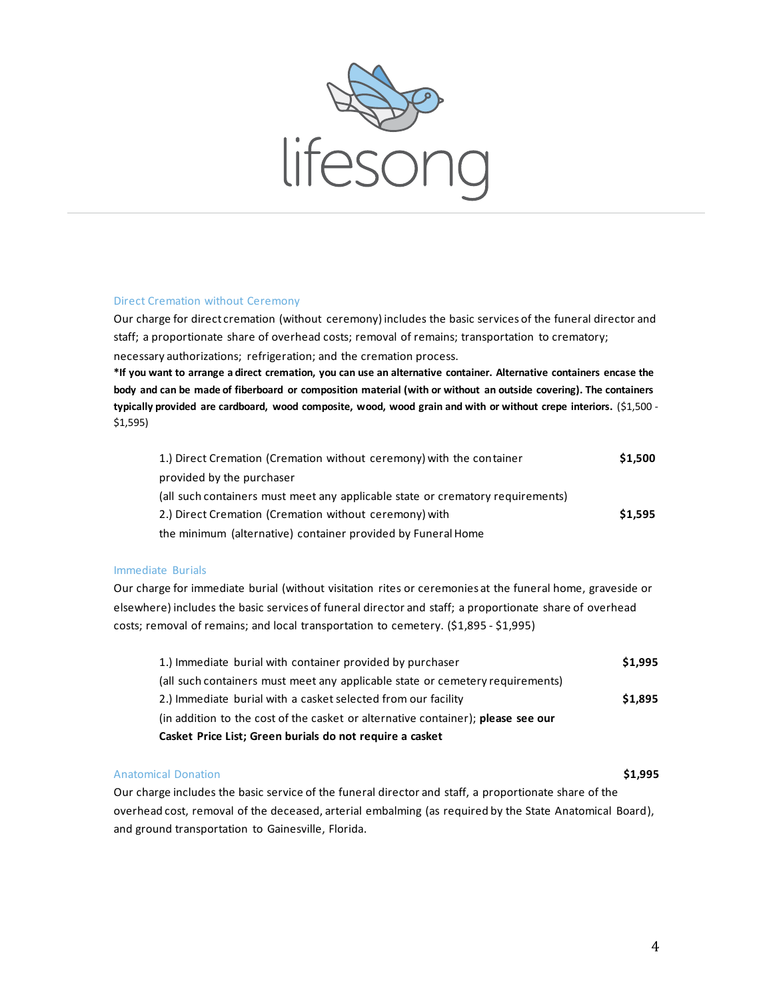

# Direct Cremation without Ceremony

Our charge for direct cremation (without ceremony) includes the basic services of the funeral director and staff; a proportionate share of overhead costs; removal of remains; transportation to crematory; necessary authorizations; refrigeration; and the cremation process.

**\*If you want to arrange a direct cremation, you can use an alternative container. Alternative containers encase the body and can be made of fiberboard or composition material (with or without an outside covering). The containers typically provided are cardboard, wood composite, wood, wood grain and with or without crepe interiors.** (\$1,500 - \$1,595)

| 1.) Direct Cremation (Cremation without ceremony) with the container           | \$1,500 |
|--------------------------------------------------------------------------------|---------|
| provided by the purchaser                                                      |         |
| (all such containers must meet any applicable state or crematory requirements) |         |
| 2.) Direct Cremation (Cremation without ceremony) with                         | \$1,595 |
| the minimum (alternative) container provided by Funeral Home                   |         |

# Immediate Burials

Our charge for immediate burial (without visitation rites or ceremonies at the funeral home, graveside or elsewhere) includes the basic services of funeral director and staff; a proportionate share of overhead costs; removal of remains; and local transportation to cemetery. (\$1,895 - \$1,995)

| 1.) Immediate burial with container provided by purchaser                        |         |
|----------------------------------------------------------------------------------|---------|
| (all such containers must meet any applicable state or cemetery requirements)    |         |
| 2.) Immediate burial with a casket selected from our facility                    | \$1,895 |
| (in addition to the cost of the casket or alternative container); please see our |         |
| Casket Price List; Green burials do not require a casket                         |         |

# Anatomical Donation **\$1,995**

Our charge includes the basic service of the funeral director and staff, a proportionate share of the overhead cost, removal of the deceased, arterial embalming (as required by the State Anatomical Board), and ground transportation to Gainesville, Florida.